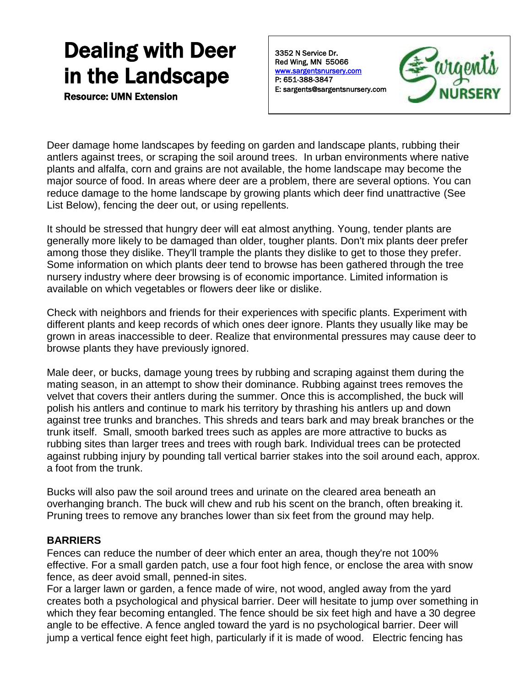# Dealing with Deer in the Landscape

Resource: UMN Extension

3352 N Service Dr. Red Wing, MN 55066 [www.sargentsnursery.com](http://www.sargentsnursery.com/)  P: 651-388-3847 E: sargents@sargentsnursery.com



Deer damage home landscapes by feeding on garden and landscape plants, rubbing their antlers against trees, or scraping the soil around trees. In urban environments where native plants and alfalfa, corn and grains are not available, the home landscape may become the major source of food. In areas where deer are a problem, there are several options. You can reduce damage to the home landscape by growing plants which deer find unattractive (See List Below), fencing the deer out, or using repellents.

It should be stressed that hungry deer will eat almost anything. Young, tender plants are generally more likely to be damaged than older, tougher plants. Don't mix plants deer prefer among those they dislike. They'll trample the plants they dislike to get to those they prefer. Some information on which plants deer tend to browse has been gathered through the tree nursery industry where deer browsing is of economic importance. Limited information is available on which vegetables or flowers deer like or dislike.

Check with neighbors and friends for their experiences with specific plants. Experiment with different plants and keep records of which ones deer ignore. Plants they usually like may be grown in areas inaccessible to deer. Realize that environmental pressures may cause deer to browse plants they have previously ignored.

Male deer, or bucks, damage young trees by rubbing and scraping against them during the mating season, in an attempt to show their dominance. Rubbing against trees removes the velvet that covers their antlers during the summer. Once this is accomplished, the buck will polish his antlers and continue to mark his territory by thrashing his antlers up and down against tree trunks and branches. This shreds and tears bark and may break branches or the trunk itself. Small, smooth barked trees such as apples are more attractive to bucks as rubbing sites than larger trees and trees with rough bark. Individual trees can be protected against rubbing injury by pounding tall vertical barrier stakes into the soil around each, approx. a foot from the trunk.

Bucks will also paw the soil around trees and urinate on the cleared area beneath an overhanging branch. The buck will chew and rub his scent on the branch, often breaking it. Pruning trees to remove any branches lower than six feet from the ground may help.

## **BARRIERS**

Fences can reduce the number of deer which enter an area, though they're not 100% effective. For a small garden patch, use a four foot high fence, or enclose the area with snow fence, as deer avoid small, penned-in sites.

For a larger lawn or garden, a fence made of wire, not wood, angled away from the yard creates both a psychological and physical barrier. Deer will hesitate to jump over something in which they fear becoming entangled. The fence should be six feet high and have a 30 degree angle to be effective. A fence angled toward the yard is no psychological barrier. Deer will jump a vertical fence eight feet high, particularly if it is made of wood. Electric fencing has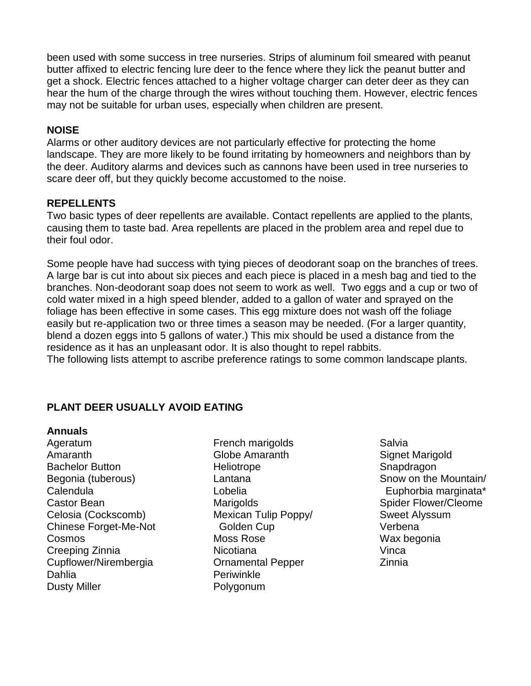been used with some success in tree nurseries. Strips of aluminum foil smeared with peanut butter affixed to electric fencing lure deer to the fence where they lick the peanut butter and get a shock. Electric fences attached to a higher voltage charger can deter deer as they can hear the hum of the charge through the wires without touching them. However, electric fences may not be suitable for urban uses, especially when children are present.

## **NOISE**

Alarms or other auditory devices are not particularly effective for protecting the home landscape. They are more likely to be found irritating by homeowners and neighbors than by the deer. Auditory alarms and devices such as cannons have been used in tree nurseries to scare deer off, but they quickly become accustomed to the noise.

## **REPELLENTS**

Two basic types of deer repellents are available. Contact repellents are applied to the plants, causing them to taste bad. Area repellents are placed in the problem area and repel due to their foul odor.

Some people have had success with tying pieces of deodorant soap on the branches of trees. A large bar is cut into about six pieces and each piece is placed in a mesh bag and tied to the branches. Non-deodorant soap does not seem to work as well. Two eggs and a cup or two of cold water mixed in a high speed blender, added to a gallon of water and sprayed on the foliage has been effective in some cases. This egg mixture does not wash off the foliage easily but re-application two or three times a season may be needed. (For a larger quantity, blend a dozen eggs into 5 gallons of water.) This mix should be used a distance from the residence as it has an unpleasant odor. It is also thought to repel rabbits. The following lists attempt to ascribe preference ratings to some common landscape plants.

# **PLANT DEER USUALLY AVOID EATING**

## **Annuals**

Ageratum Amaranth Bachelor Button Begonia (tuberous) Calendula Castor Bean Celosia (Cockscomb) Chinese Forget-Me-Not Cosmos Creeping Zinnia Cupflower/Nirembergia Dahlia Dusty Miller

- French marigolds Globe Amaranth Heliotrope Lantana Lobelia Marigolds Mexican Tulip Poppy/ Golden Cup Moss Rose **Nicotiana** Ornamental Pepper **Periwinkle** Polygonum
- Salvia Signet Marigold Snapdragon Snow on the Mountain/ Euphorbia marginata\* Spider Flower/Cleome Sweet Alyssum Verbena Wax begonia Vinca Zinnia